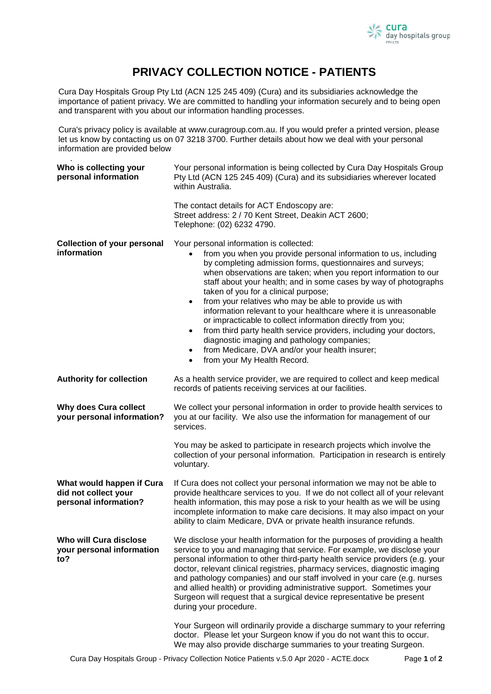

## **PRIVACY COLLECTION NOTICE - PATIENTS**

Cura Day Hospitals Group Pty Ltd (ACN 125 245 409) (Cura) and its subsidiaries acknowledge the importance of patient privacy. We are committed to handling your information securely and to being open and transparent with you about our information handling processes.

Cura's privacy policy is available at www.curagroup.com.au. If you would prefer a printed version, please let us know by contacting us on 07 3218 3700. Further details about how we deal with your personal information are provided below

.

| Who is collecting your<br>personal information                             | Your personal information is being collected by Cura Day Hospitals Group<br>Pty Ltd (ACN 125 245 409) (Cura) and its subsidiaries wherever located<br>within Australia.                                                                                                                                                                                                                                                                                                                                                                                                                                                                                                                                                                                                                                       |
|----------------------------------------------------------------------------|---------------------------------------------------------------------------------------------------------------------------------------------------------------------------------------------------------------------------------------------------------------------------------------------------------------------------------------------------------------------------------------------------------------------------------------------------------------------------------------------------------------------------------------------------------------------------------------------------------------------------------------------------------------------------------------------------------------------------------------------------------------------------------------------------------------|
|                                                                            | The contact details for ACT Endoscopy are:<br>Street address: 2 / 70 Kent Street, Deakin ACT 2600;<br>Telephone: (02) 6232 4790.                                                                                                                                                                                                                                                                                                                                                                                                                                                                                                                                                                                                                                                                              |
| <b>Collection of your personal</b><br>information                          | Your personal information is collected:<br>from you when you provide personal information to us, including<br>by completing admission forms, questionnaires and surveys;<br>when observations are taken; when you report information to our<br>staff about your health; and in some cases by way of photographs<br>taken of you for a clinical purpose;<br>from your relatives who may be able to provide us with<br>$\bullet$<br>information relevant to your healthcare where it is unreasonable<br>or impracticable to collect information directly from you;<br>from third party health service providers, including your doctors,<br>$\bullet$<br>diagnostic imaging and pathology companies;<br>from Medicare, DVA and/or your health insurer;<br>$\bullet$<br>from your My Health Record.<br>$\bullet$ |
| <b>Authority for collection</b>                                            | As a health service provider, we are required to collect and keep medical<br>records of patients receiving services at our facilities.                                                                                                                                                                                                                                                                                                                                                                                                                                                                                                                                                                                                                                                                        |
| <b>Why does Cura collect</b><br>your personal information?                 | We collect your personal information in order to provide health services to<br>you at our facility. We also use the information for management of our<br>services.                                                                                                                                                                                                                                                                                                                                                                                                                                                                                                                                                                                                                                            |
|                                                                            | You may be asked to participate in research projects which involve the<br>collection of your personal information. Participation in research is entirely<br>voluntary.                                                                                                                                                                                                                                                                                                                                                                                                                                                                                                                                                                                                                                        |
| What would happen if Cura<br>did not collect your<br>personal information? | If Cura does not collect your personal information we may not be able to<br>provide healthcare services to you. If we do not collect all of your relevant<br>health information, this may pose a risk to your health as we will be using<br>incomplete information to make care decisions. It may also impact on your<br>ability to claim Medicare, DVA or private health insurance refunds.                                                                                                                                                                                                                                                                                                                                                                                                                  |
| Who will Cura disclose<br>your personal information<br>to?                 | We disclose your health information for the purposes of providing a health<br>service to you and managing that service. For example, we disclose your<br>personal information to other third-party health service providers (e.g. your<br>doctor, relevant clinical registries, pharmacy services, diagnostic imaging<br>and pathology companies) and our staff involved in your care (e.g. nurses<br>and allied health) or providing administrative support. Sometimes your<br>Surgeon will request that a surgical device representative be present<br>during your procedure.                                                                                                                                                                                                                               |
|                                                                            | Your Surgeon will ordinarily provide a discharge summary to your referring<br>doctor. Please let your Surgeon know if you do not want this to occur.<br>We may also provide discharge summaries to your treating Surgeon.                                                                                                                                                                                                                                                                                                                                                                                                                                                                                                                                                                                     |